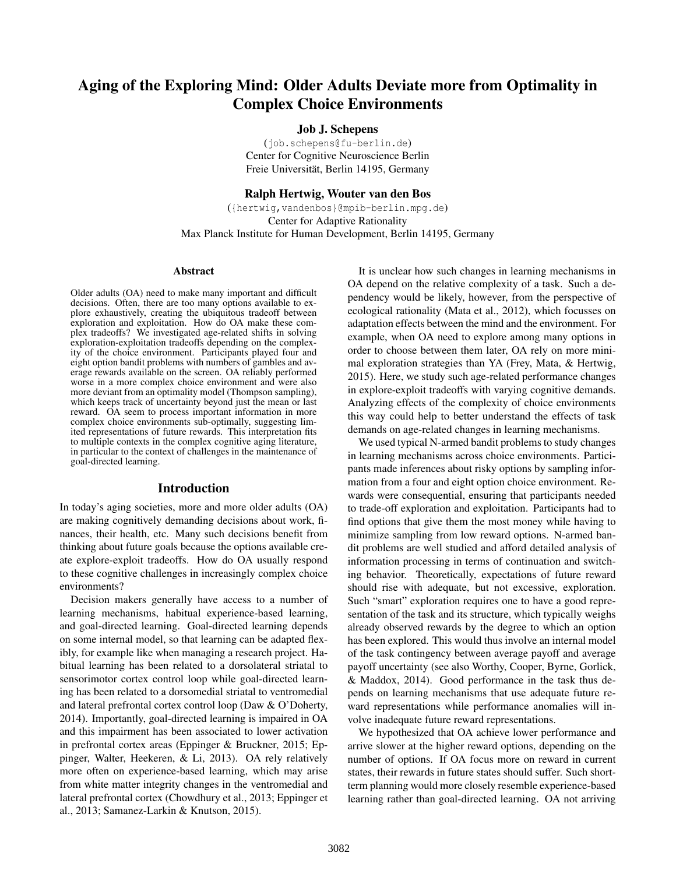# Aging of the Exploring Mind: Older Adults Deviate more from Optimality in Complex Choice Environments

## Job J. Schepens

(job.schepens@fu-berlin.de) Center for Cognitive Neuroscience Berlin Freie Universität, Berlin 14195, Germany

#### Ralph Hertwig, Wouter van den Bos

({hertwig,vandenbos}@mpib-berlin.mpg.de) Center for Adaptive Rationality Max Planck Institute for Human Development, Berlin 14195, Germany

#### Abstract

Older adults (OA) need to make many important and difficult decisions. Often, there are too many options available to explore exhaustively, creating the ubiquitous tradeoff between exploration and exploitation. How do OA make these complex tradeoffs? We investigated age-related shifts in solving exploration-exploitation tradeoffs depending on the complexity of the choice environment. Participants played four and eight option bandit problems with numbers of gambles and average rewards available on the screen. OA reliably performed worse in a more complex choice environment and were also more deviant from an optimality model (Thompson sampling), which keeps track of uncertainty beyond just the mean or last reward. OA seem to process important information in more complex choice environments sub-optimally, suggesting limited representations of future rewards. This interpretation fits to multiple contexts in the complex cognitive aging literature, in particular to the context of challenges in the maintenance of goal-directed learning.

#### Introduction

In today's aging societies, more and more older adults (OA) are making cognitively demanding decisions about work, finances, their health, etc. Many such decisions benefit from thinking about future goals because the options available create explore-exploit tradeoffs. How do OA usually respond to these cognitive challenges in increasingly complex choice environments?

Decision makers generally have access to a number of learning mechanisms, habitual experience-based learning, and goal-directed learning. Goal-directed learning depends on some internal model, so that learning can be adapted flexibly, for example like when managing a research project. Habitual learning has been related to a dorsolateral striatal to sensorimotor cortex control loop while goal-directed learning has been related to a dorsomedial striatal to ventromedial and lateral prefrontal cortex control loop (Daw & O'Doherty, 2014). Importantly, goal-directed learning is impaired in OA and this impairment has been associated to lower activation in prefrontal cortex areas (Eppinger & Bruckner, 2015; Eppinger, Walter, Heekeren, & Li, 2013). OA rely relatively more often on experience-based learning, which may arise from white matter integrity changes in the ventromedial and lateral prefrontal cortex (Chowdhury et al., 2013; Eppinger et al., 2013; Samanez-Larkin & Knutson, 2015).

It is unclear how such changes in learning mechanisms in OA depend on the relative complexity of a task. Such a dependency would be likely, however, from the perspective of ecological rationality (Mata et al., 2012), which focusses on adaptation effects between the mind and the environment. For example, when OA need to explore among many options in order to choose between them later, OA rely on more minimal exploration strategies than YA (Frey, Mata, & Hertwig, 2015). Here, we study such age-related performance changes in explore-exploit tradeoffs with varying cognitive demands. Analyzing effects of the complexity of choice environments this way could help to better understand the effects of task demands on age-related changes in learning mechanisms.

We used typical N-armed bandit problems to study changes in learning mechanisms across choice environments. Participants made inferences about risky options by sampling information from a four and eight option choice environment. Rewards were consequential, ensuring that participants needed to trade-off exploration and exploitation. Participants had to find options that give them the most money while having to minimize sampling from low reward options. N-armed bandit problems are well studied and afford detailed analysis of information processing in terms of continuation and switching behavior. Theoretically, expectations of future reward should rise with adequate, but not excessive, exploration. Such "smart" exploration requires one to have a good representation of the task and its structure, which typically weighs already observed rewards by the degree to which an option has been explored. This would thus involve an internal model of the task contingency between average payoff and average payoff uncertainty (see also Worthy, Cooper, Byrne, Gorlick, & Maddox, 2014). Good performance in the task thus depends on learning mechanisms that use adequate future reward representations while performance anomalies will involve inadequate future reward representations.

We hypothesized that OA achieve lower performance and arrive slower at the higher reward options, depending on the number of options. If OA focus more on reward in current states, their rewards in future states should suffer. Such shortterm planning would more closely resemble experience-based learning rather than goal-directed learning. OA not arriving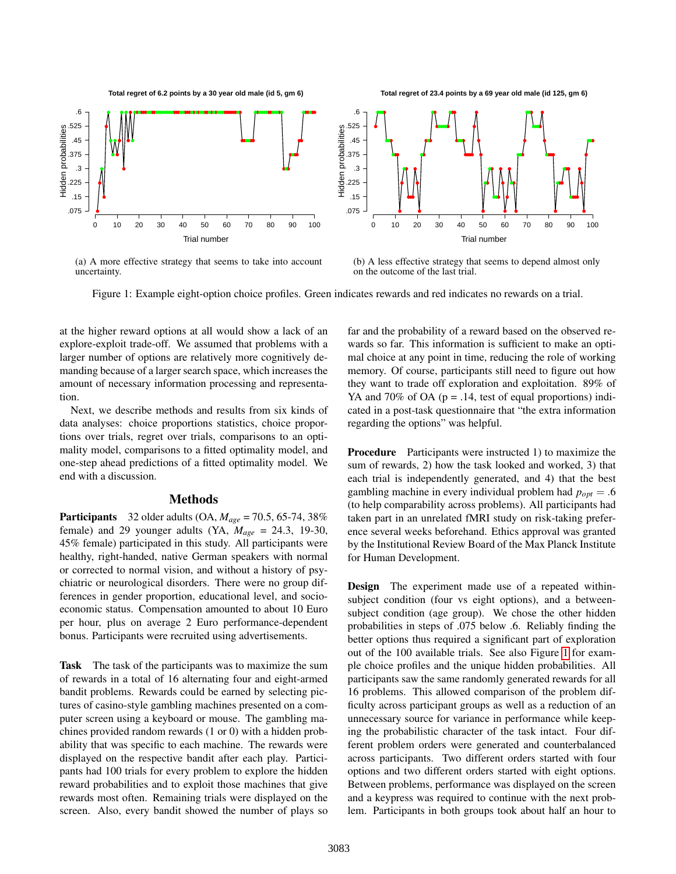

**Total regret of 23.4 points by a 69 year old male (id 125, gm 6)**

<span id="page-1-0"></span>



(a) A more effective strategy that seems to take into account uncertainty.

(b) A less effective strategy that seems to depend almost only on the outcome of the last trial.

Figure 1: Example eight-option choice profiles. Green indicates rewards and red indicates no rewards on a trial.

at the higher reward options at all would show a lack of an explore-exploit trade-off. We assumed that problems with a larger number of options are relatively more cognitively demanding because of a larger search space, which increases the amount of necessary information processing and representation.

Next, we describe methods and results from six kinds of data analyses: choice proportions statistics, choice proportions over trials, regret over trials, comparisons to an optimality model, comparisons to a fitted optimality model, and one-step ahead predictions of a fitted optimality model. We end with a discussion.

## Methods

Participants 32 older adults (OA, *Mage* = 70.5, 65-74, 38% female) and 29 younger adults (YA, *Mage* = 24.3, 19-30, 45% female) participated in this study. All participants were healthy, right-handed, native German speakers with normal or corrected to normal vision, and without a history of psychiatric or neurological disorders. There were no group differences in gender proportion, educational level, and socioeconomic status. Compensation amounted to about 10 Euro per hour, plus on average 2 Euro performance-dependent bonus. Participants were recruited using advertisements.

Task The task of the participants was to maximize the sum of rewards in a total of 16 alternating four and eight-armed bandit problems. Rewards could be earned by selecting pictures of casino-style gambling machines presented on a computer screen using a keyboard or mouse. The gambling machines provided random rewards (1 or 0) with a hidden probability that was specific to each machine. The rewards were displayed on the respective bandit after each play. Participants had 100 trials for every problem to explore the hidden reward probabilities and to exploit those machines that give rewards most often. Remaining trials were displayed on the screen. Also, every bandit showed the number of plays so far and the probability of a reward based on the observed rewards so far. This information is sufficient to make an optimal choice at any point in time, reducing the role of working memory. Of course, participants still need to figure out how they want to trade off exploration and exploitation. 89% of YA and 70% of OA ( $p = .14$ , test of equal proportions) indicated in a post-task questionnaire that "the extra information regarding the options" was helpful.

Procedure Participants were instructed 1) to maximize the sum of rewards, 2) how the task looked and worked, 3) that each trial is independently generated, and 4) that the best gambling machine in every individual problem had  $p_{opt} = .6$ (to help comparability across problems). All participants had taken part in an unrelated fMRI study on risk-taking preference several weeks beforehand. Ethics approval was granted by the Institutional Review Board of the Max Planck Institute for Human Development.

Design The experiment made use of a repeated withinsubject condition (four vs eight options), and a betweensubject condition (age group). We chose the other hidden probabilities in steps of .075 below .6. Reliably finding the better options thus required a significant part of exploration out of the 100 available trials. See also Figure [1](#page-1-0) for example choice profiles and the unique hidden probabilities. All participants saw the same randomly generated rewards for all 16 problems. This allowed comparison of the problem difficulty across participant groups as well as a reduction of an unnecessary source for variance in performance while keeping the probabilistic character of the task intact. Four different problem orders were generated and counterbalanced across participants. Two different orders started with four options and two different orders started with eight options. Between problems, performance was displayed on the screen and a keypress was required to continue with the next problem. Participants in both groups took about half an hour to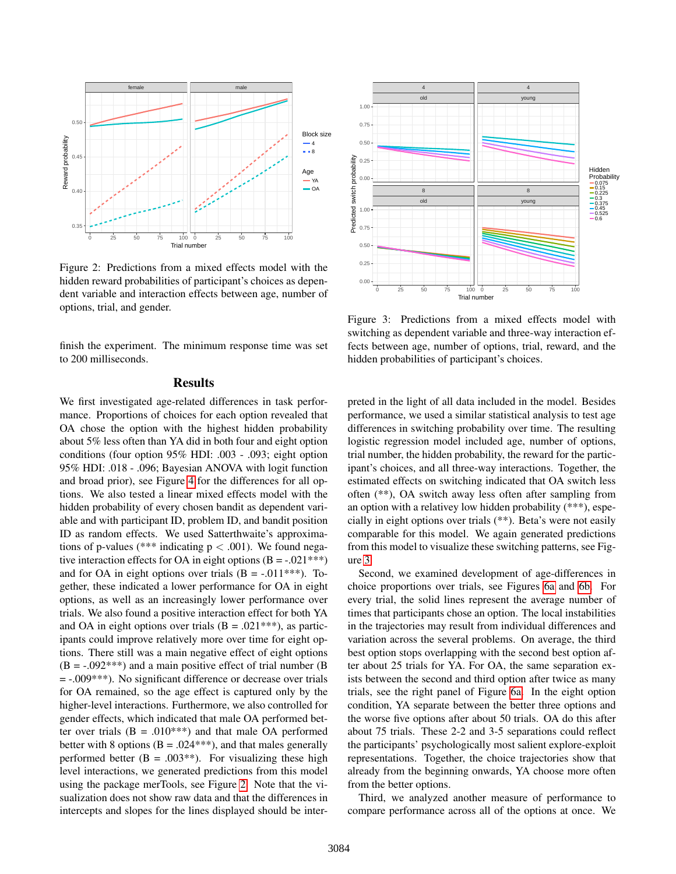<span id="page-2-0"></span>

Figure 2: Predictions from a mixed effects model with the hidden reward probabilities of participant's choices as dependent variable and interaction effects between age, number of options, trial, and gender.

finish the experiment. The minimum response time was set to 200 milliseconds.

# **Results**

We first investigated age-related differences in task performance. Proportions of choices for each option revealed that OA chose the option with the highest hidden probability about 5% less often than YA did in both four and eight option conditions (four option 95% HDI: .003 - .093; eight option 95% HDI: .018 - .096; Bayesian ANOVA with logit function and broad prior), see Figure [4](#page-3-0) for the differences for all options. We also tested a linear mixed effects model with the hidden probability of every chosen bandit as dependent variable and with participant ID, problem ID, and bandit position ID as random effects. We used Satterthwaite's approximations of p-values (\*\*\* indicating  $p < .001$ ). We found negative interaction effects for OA in eight options  $(B = -0.021***)$ and for OA in eight options over trials  $(B = -0.011***)$ . Together, these indicated a lower performance for OA in eight options, as well as an increasingly lower performance over trials. We also found a positive interaction effect for both YA and OA in eight options over trials  $(B = .021***)$ , as participants could improve relatively more over time for eight options. There still was a main negative effect of eight options  $(B = -0.092$ <sup>\*\*\*</sup>) and a main positive effect of trial number (B) = -.009\*\*\*). No significant difference or decrease over trials for OA remained, so the age effect is captured only by the higher-level interactions. Furthermore, we also controlled for gender effects, which indicated that male OA performed better over trials  $(B = .010^{***})$  and that male OA performed better with 8 options ( $B = .024***$ ), and that males generally performed better ( $B = .003$ \*\*). For visualizing these high level interactions, we generated predictions from this model using the package merTools, see Figure [2.](#page-2-0) Note that the visualization does not show raw data and that the differences in intercepts and slopes for the lines displayed should be inter-

<span id="page-2-1"></span>

Figure 3: Predictions from a mixed effects model with switching as dependent variable and three-way interaction effects between age, number of options, trial, reward, and the hidden probabilities of participant's choices.

preted in the light of all data included in the model. Besides performance, we used a similar statistical analysis to test age differences in switching probability over time. The resulting logistic regression model included age, number of options, trial number, the hidden probability, the reward for the participant's choices, and all three-way interactions. Together, the estimated effects on switching indicated that OA switch less often (\*\*), OA switch away less often after sampling from an option with a relativey low hidden probability (\*\*\*), especially in eight options over trials (\*\*). Beta's were not easily comparable for this model. We again generated predictions from this model to visualize these switching patterns, see Figure [3.](#page-2-1)

Second, we examined development of age-differences in choice proportions over trials, see Figures [6a](#page-4-0) and [6b.](#page-4-0) For every trial, the solid lines represent the average number of times that participants chose an option. The local instabilities in the trajectories may result from individual differences and variation across the several problems. On average, the third best option stops overlapping with the second best option after about 25 trials for YA. For OA, the same separation exists between the second and third option after twice as many trials, see the right panel of Figure [6a.](#page-4-0) In the eight option condition, YA separate between the better three options and the worse five options after about 50 trials. OA do this after about 75 trials. These 2-2 and 3-5 separations could reflect the participants' psychologically most salient explore-exploit representations. Together, the choice trajectories show that already from the beginning onwards, YA choose more often from the better options.

Third, we analyzed another measure of performance to compare performance across all of the options at once. We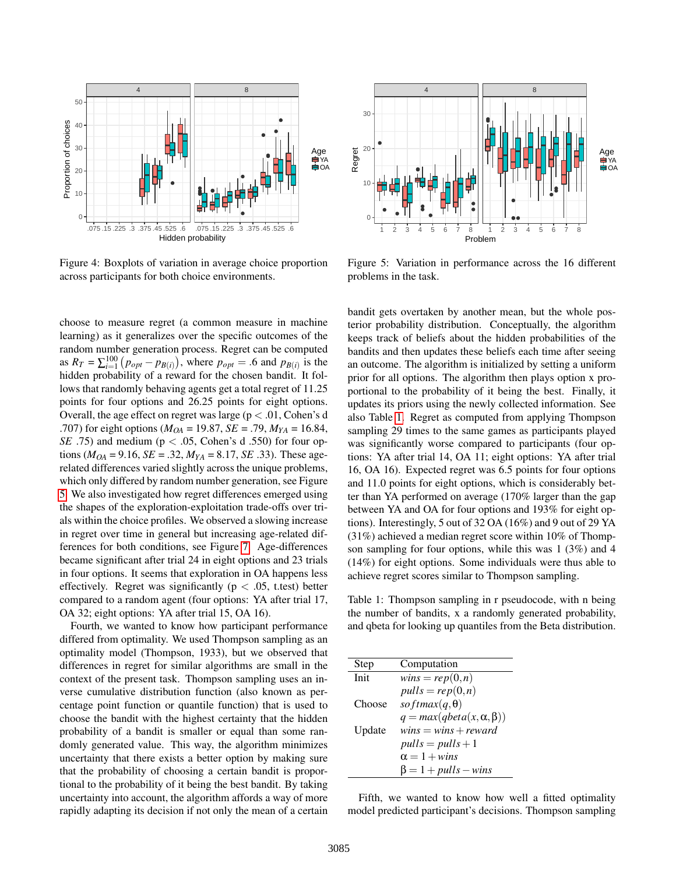<span id="page-3-0"></span>

Figure 4: Boxplots of variation in average choice proportion across participants for both choice environments.

choose to measure regret (a common measure in machine learning) as it generalizes over the specific outcomes of the random number generation process. Regret can be computed as  $R_T = \sum_{i=1}^{100} (p_{opt} - p_{B(i)})$ , where  $p_{opt} = .6$  and  $p_{B(i)}$  is the hidden probability of a reward for the chosen bandit. It follows that randomly behaving agents get a total regret of 11.25 points for four options and 26.25 points for eight options. Overall, the age effect on regret was large ( $p < .01$ , Cohen's d .707) for eight options (*MOA* = 19.87, *SE* = .79, *MYA* = 16.84, *SE* .75) and medium ( $p < .05$ , Cohen's d .550) for four options ( $M_{OA} = 9.16$ ,  $SE = .32$ ,  $M_{YA} = 8.17$ ,  $SE .33$ ). These agerelated differences varied slightly across the unique problems, which only differed by random number generation, see Figure [5.](#page-3-1) We also investigated how regret differences emerged using the shapes of the exploration-exploitation trade-offs over trials within the choice profiles. We observed a slowing increase in regret over time in general but increasing age-related differences for both conditions, see Figure [7.](#page-5-0) Age-differences became significant after trial 24 in eight options and 23 trials in four options. It seems that exploration in OA happens less effectively. Regret was significantly ( $p < .05$ , t.test) better compared to a random agent (four options: YA after trial 17, OA 32; eight options: YA after trial 15, OA 16).

Fourth, we wanted to know how participant performance differed from optimality. We used Thompson sampling as an optimality model (Thompson, 1933), but we observed that differences in regret for similar algorithms are small in the context of the present task. Thompson sampling uses an inverse cumulative distribution function (also known as percentage point function or quantile function) that is used to choose the bandit with the highest certainty that the hidden probability of a bandit is smaller or equal than some randomly generated value. This way, the algorithm minimizes uncertainty that there exists a better option by making sure that the probability of choosing a certain bandit is proportional to the probability of it being the best bandit. By taking uncertainty into account, the algorithm affords a way of more rapidly adapting its decision if not only the mean of a certain

<span id="page-3-1"></span>

Figure 5: Variation in performance across the 16 different problems in the task.

bandit gets overtaken by another mean, but the whole posterior probability distribution. Conceptually, the algorithm keeps track of beliefs about the hidden probabilities of the bandits and then updates these beliefs each time after seeing an outcome. The algorithm is initialized by setting a uniform prior for all options. The algorithm then plays option x proportional to the probability of it being the best. Finally, it updates its priors using the newly collected information. See also Table [1.](#page-3-2) Regret as computed from applying Thompson sampling 29 times to the same games as participants played was significantly worse compared to participants (four options: YA after trial 14, OA 11; eight options: YA after trial 16, OA 16). Expected regret was 6.5 points for four options and 11.0 points for eight options, which is considerably better than YA performed on average (170% larger than the gap between YA and OA for four options and 193% for eight options). Interestingly, 5 out of 32 OA (16%) and 9 out of 29 YA (31%) achieved a median regret score within 10% of Thompson sampling for four options, while this was 1 (3%) and 4 (14%) for eight options. Some individuals were thus able to achieve regret scores similar to Thompson sampling.

<span id="page-3-2"></span>Table 1: Thompson sampling in r pseudocode, with n being the number of bandits, x a randomly generated probability, and qbeta for looking up quantiles from the Beta distribution.

| Step   | Computation                              |
|--------|------------------------------------------|
| Init   | $wins = rep(0,n)$                        |
|        | $pulls = rep(0,n)$                       |
| Choose | so ftmax $(q, \theta)$                   |
|        | $q = max(qbeta(x, \alpha, \beta))$       |
| Update | $wins = wins + reward$                   |
|        | $pulls = pulls + 1$                      |
|        | $\alpha = 1 + \text{wins}$               |
|        | $\beta = 1 + \text{pulls} - \text{wins}$ |

Fifth, we wanted to know how well a fitted optimality model predicted participant's decisions. Thompson sampling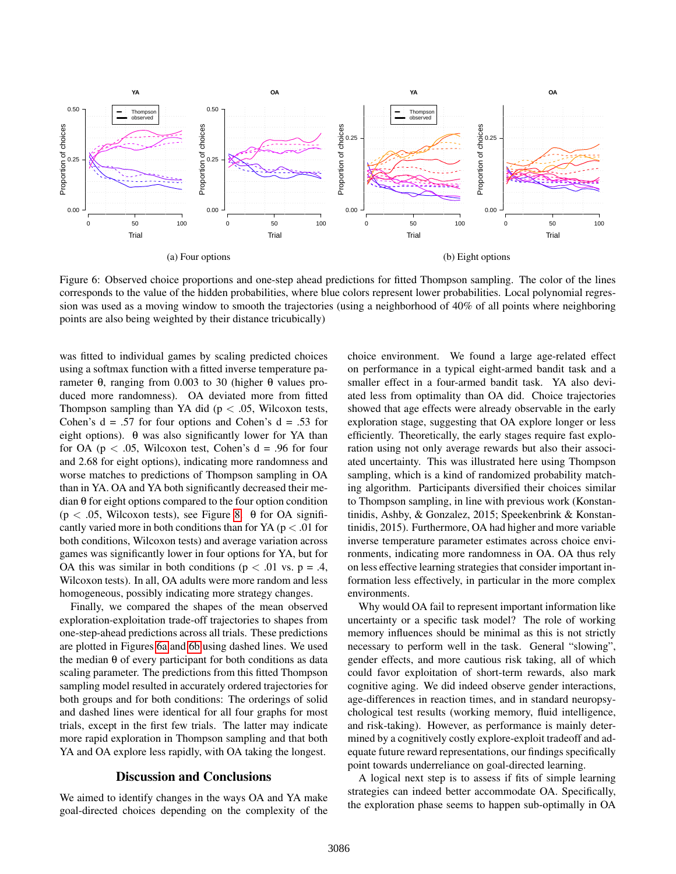<span id="page-4-0"></span>

Figure 6: Observed choice proportions and one-step ahead predictions for fitted Thompson sampling. The color of the lines corresponds to the value of the hidden probabilities, where blue colors represent lower probabilities. Local polynomial regression was used as a moving window to smooth the trajectories (using a neighborhood of 40% of all points where neighboring points are also being weighted by their distance tricubically)

was fitted to individual games by scaling predicted choices using a softmax function with a fitted inverse temperature parameter θ, ranging from 0.003 to 30 (higher θ values produced more randomness). OA deviated more from fitted Thompson sampling than YA did ( $p < .05$ , Wilcoxon tests, Cohen's  $d = .57$  for four options and Cohen's  $d = .53$  for eight options).  $\theta$  was also significantly lower for YA than for OA ( $p < .05$ , Wilcoxon test, Cohen's  $d = .96$  for four and 2.68 for eight options), indicating more randomness and worse matches to predictions of Thompson sampling in OA than in YA. OA and YA both significantly decreased their median θ for eight options compared to the four option condition ( $p < .05$ , Wilcoxon tests), see Figure [8.](#page-5-1)  $\theta$  for OA significantly varied more in both conditions than for YA ( $p < .01$  for both conditions, Wilcoxon tests) and average variation across games was significantly lower in four options for YA, but for OA this was similar in both conditions ( $p < .01$  vs.  $p = .4$ , Wilcoxon tests). In all, OA adults were more random and less homogeneous, possibly indicating more strategy changes.

Finally, we compared the shapes of the mean observed exploration-exploitation trade-off trajectories to shapes from one-step-ahead predictions across all trials. These predictions are plotted in Figures [6a](#page-4-0) and [6b](#page-4-0) using dashed lines. We used the median  $θ$  of every participant for both conditions as data scaling parameter. The predictions from this fitted Thompson sampling model resulted in accurately ordered trajectories for both groups and for both conditions: The orderings of solid and dashed lines were identical for all four graphs for most trials, except in the first few trials. The latter may indicate more rapid exploration in Thompson sampling and that both YA and OA explore less rapidly, with OA taking the longest.

# Discussion and Conclusions

We aimed to identify changes in the ways OA and YA make goal-directed choices depending on the complexity of the choice environment. We found a large age-related effect on performance in a typical eight-armed bandit task and a smaller effect in a four-armed bandit task. YA also deviated less from optimality than OA did. Choice trajectories showed that age effects were already observable in the early exploration stage, suggesting that OA explore longer or less efficiently. Theoretically, the early stages require fast exploration using not only average rewards but also their associated uncertainty. This was illustrated here using Thompson sampling, which is a kind of randomized probability matching algorithm. Participants diversified their choices similar to Thompson sampling, in line with previous work (Konstantinidis, Ashby, & Gonzalez, 2015; Speekenbrink & Konstantinidis, 2015). Furthermore, OA had higher and more variable inverse temperature parameter estimates across choice environments, indicating more randomness in OA. OA thus rely on less effective learning strategies that consider important information less effectively, in particular in the more complex environments.

Why would OA fail to represent important information like uncertainty or a specific task model? The role of working memory influences should be minimal as this is not strictly necessary to perform well in the task. General "slowing", gender effects, and more cautious risk taking, all of which could favor exploitation of short-term rewards, also mark cognitive aging. We did indeed observe gender interactions, age-differences in reaction times, and in standard neuropsychological test results (working memory, fluid intelligence, and risk-taking). However, as performance is mainly determined by a cognitively costly explore-exploit tradeoff and adequate future reward representations, our findings specifically point towards underreliance on goal-directed learning.

A logical next step is to assess if fits of simple learning strategies can indeed better accommodate OA. Specifically, the exploration phase seems to happen sub-optimally in OA